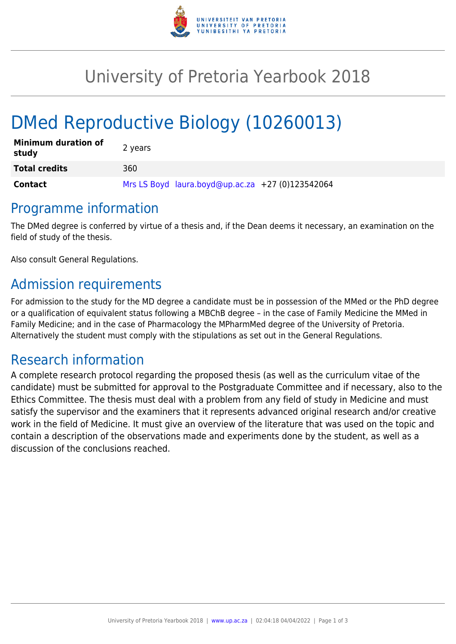

## University of Pretoria Yearbook 2018

# DMed Reproductive Biology (10260013)

| <b>Minimum duration of</b><br>study | 2 years                                          |
|-------------------------------------|--------------------------------------------------|
| <b>Total credits</b>                | 360                                              |
| <b>Contact</b>                      | Mrs LS Boyd laura.boyd@up.ac.za +27 (0)123542064 |

### Programme information

The DMed degree is conferred by virtue of a thesis and, if the Dean deems it necessary, an examination on the field of study of the thesis.

Also consult General Regulations.

## Admission requirements

For admission to the study for the MD degree a candidate must be in possession of the MMed or the PhD degree or a qualification of equivalent status following a MBChB degree – in the case of Family Medicine the MMed in Family Medicine; and in the case of Pharmacology the MPharmMed degree of the University of Pretoria. Alternatively the student must comply with the stipulations as set out in the General Regulations.

## Research information

A complete research protocol regarding the proposed thesis (as well as the curriculum vitae of the candidate) must be submitted for approval to the Postgraduate Committee and if necessary, also to the Ethics Committee. The thesis must deal with a problem from any field of study in Medicine and must satisfy the supervisor and the examiners that it represents advanced original research and/or creative work in the field of Medicine. It must give an overview of the literature that was used on the topic and contain a description of the observations made and experiments done by the student, as well as a discussion of the conclusions reached.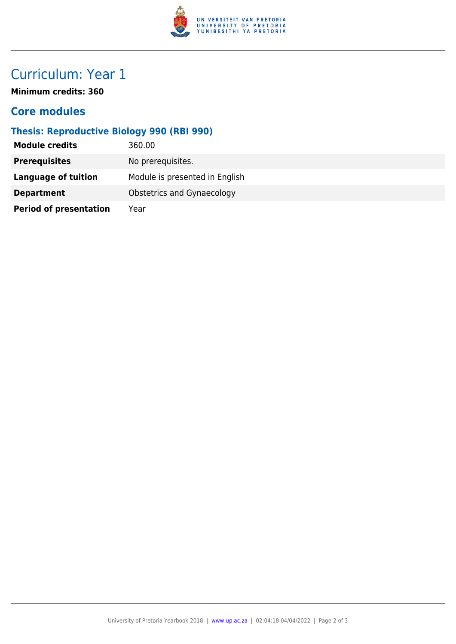

## Curriculum: Year 1

**Minimum credits: 360**

#### **Core modules**

#### **Thesis: Reproductive Biology 990 (RBI 990)**

| <b>Module credits</b>         | 360.00                         |
|-------------------------------|--------------------------------|
| <b>Prerequisites</b>          | No prerequisites.              |
| <b>Language of tuition</b>    | Module is presented in English |
| <b>Department</b>             | Obstetrics and Gynaecology     |
| <b>Period of presentation</b> | Year                           |